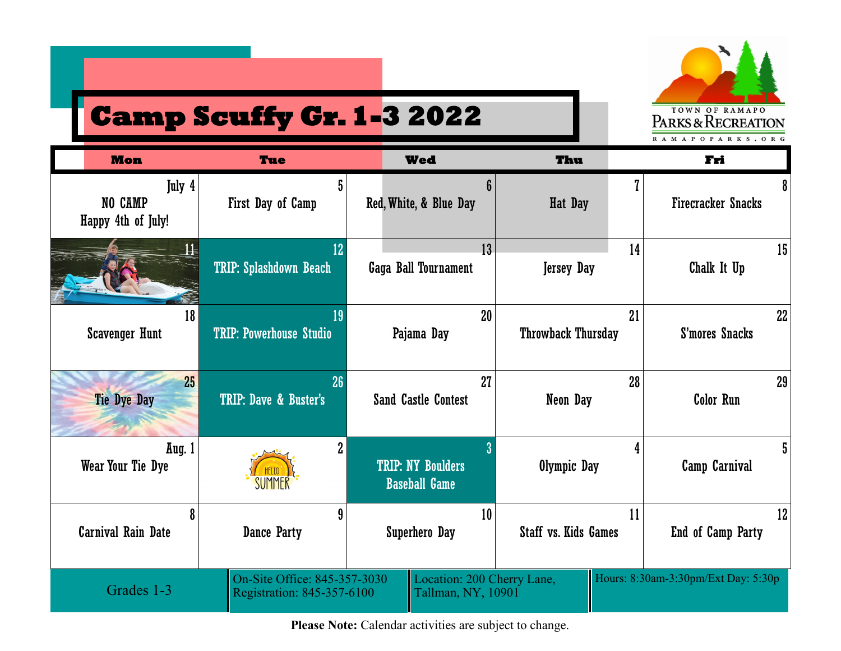

## **Camp Scuffy Gr. 1-3 2022**

| <b>Mon</b>                              | <b>Tue</b>                                                 | <b>Wed</b>                                       | Thu                         | Fri                                 |
|-----------------------------------------|------------------------------------------------------------|--------------------------------------------------|-----------------------------|-------------------------------------|
| July 4<br>NO CAMP<br>Happy 4th of July! | 5<br>First Day of Camp                                     | 6<br>Red, White, & Blue Day                      | Hat Day                     | 8<br><b>Firecracker Snacks</b>      |
|                                         | 12                                                         | 13 <sup>°</sup>                                  | 14                          | 15                                  |
|                                         | <b>TRIP: Splashdown Beach</b>                              | Gaga Ball Tournament                             | <b>Jersey Day</b>           | Chalk It Up                         |
| 18                                      | 19                                                         | 20                                               | 21                          | 22                                  |
| <b>Scavenger Hunt</b>                   | <b>TRIP: Powerhouse Studio</b>                             | Pajama Day                                       | <b>Throwback Thursday</b>   | S'mores Snacks                      |
| 25                                      | 26                                                         | 27                                               | 28                          | 29                                  |
| <b>Tie Dye Day</b>                      | TRIP: Dave & Buster's                                      | <b>Sand Castle Contest</b>                       | Neon Day                    | <b>Color Run</b>                    |
| Aug. 1<br>Wear Your Tie Dye             | $\overline{2}$<br>HFI10<br>SUMMER                          | <b>TRIP: NY Boulders</b><br><b>Baseball Game</b> | Olympic Day                 | 5<br>Camp Carnival                  |
| 8                                       | 9                                                          | 10                                               | 11                          | 12                                  |
| <b>Carnival Rain Date</b>               | Dance Party                                                | <b>Superhero Day</b>                             | <b>Staff vs. Kids Games</b> | End of Camp Party                   |
| Grades 1-3                              | On-Site Office: 845-357-3030<br>Registration: 845-357-6100 | Location: 200 Cherry Lane,<br>Tallman, NY, 10901 |                             | Hours: 8:30am-3:30pm/Ext Day: 5:30p |

Please Note: Calendar activities are subject to change.